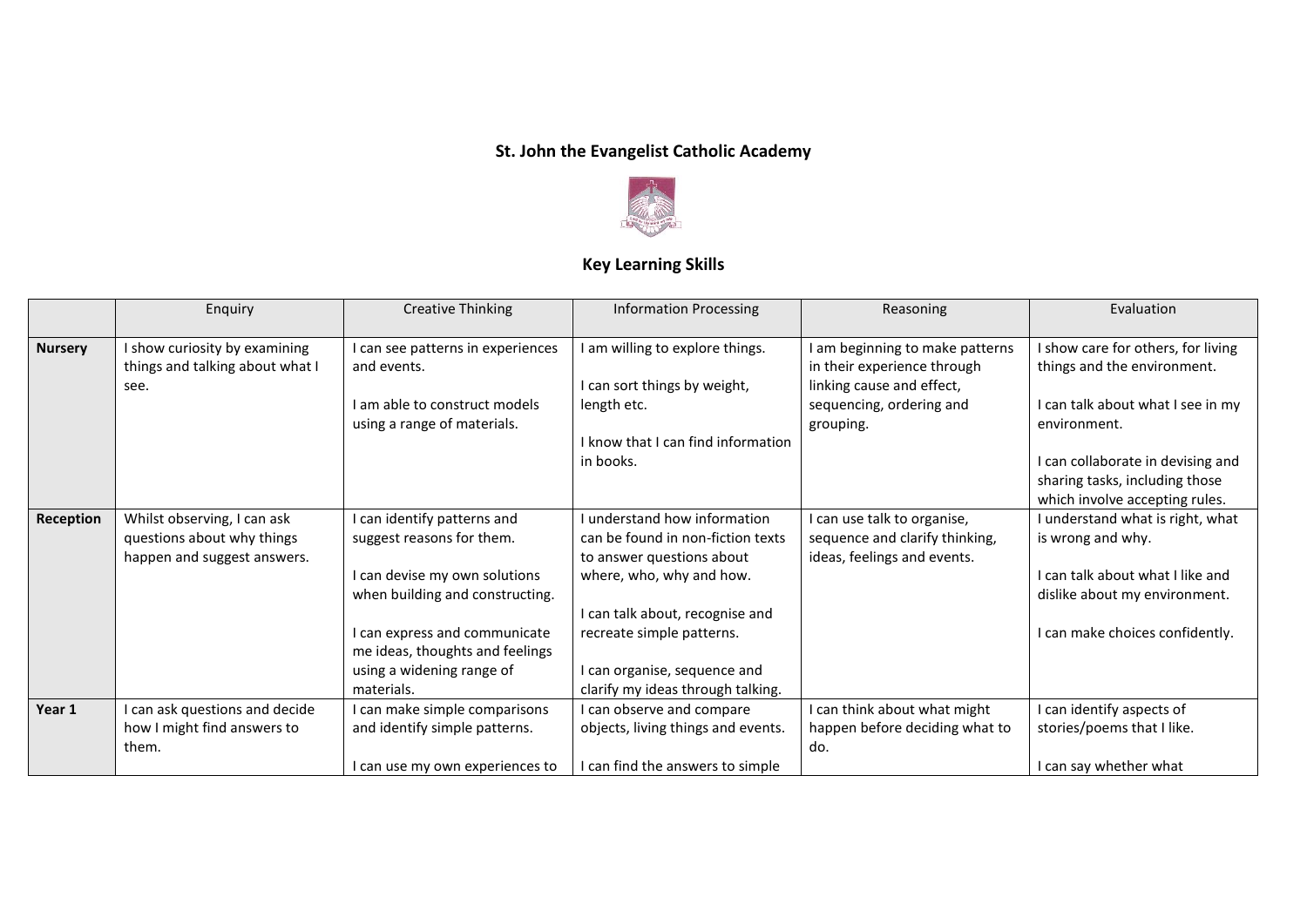## **St. John the Evangelist Catholic Academy**



## **Key Learning Skills**

|                | Enquiry                         | <b>Creative Thinking</b>        | <b>Information Processing</b>      | Reasoning                      | Evaluation                         |
|----------------|---------------------------------|---------------------------------|------------------------------------|--------------------------------|------------------------------------|
|                |                                 |                                 |                                    |                                |                                    |
| <b>Nursery</b> | I show curiosity by examining   | can see patterns in experiences | I am willing to explore things.    | am beginning to make patterns  | I show care for others, for living |
|                | things and talking about what I | and events.                     |                                    | in their experience through    | things and the environment.        |
|                | see.                            |                                 | I can sort things by weight,       | linking cause and effect,      |                                    |
|                |                                 | I am able to construct models   | length etc.                        | sequencing, ordering and       | I can talk about what I see in my  |
|                |                                 | using a range of materials.     |                                    | grouping.                      | environment.                       |
|                |                                 |                                 | I know that I can find information |                                |                                    |
|                |                                 |                                 | in books.                          |                                | I can collaborate in devising and  |
|                |                                 |                                 |                                    |                                | sharing tasks, including those     |
|                |                                 |                                 |                                    |                                | which involve accepting rules.     |
| Reception      | Whilst observing, I can ask     | I can identify patterns and     | I understand how information       | can use talk to organise,      | I understand what is right, what   |
|                | questions about why things      | suggest reasons for them.       | can be found in non-fiction texts  | sequence and clarify thinking, | is wrong and why.                  |
|                | happen and suggest answers.     |                                 | to answer questions about          | ideas, feelings and events.    |                                    |
|                |                                 | I can devise my own solutions   | where, who, why and how.           |                                | I can talk about what I like and   |
|                |                                 | when building and constructing. |                                    |                                | dislike about my environment.      |
|                |                                 |                                 | I can talk about, recognise and    |                                |                                    |
|                |                                 | I can express and communicate   | recreate simple patterns.          |                                | I can make choices confidently.    |
|                |                                 | me ideas, thoughts and feelings |                                    |                                |                                    |
|                |                                 | using a widening range of       | I can organise, sequence and       |                                |                                    |
|                |                                 | materials.                      | clarify my ideas through talking.  |                                |                                    |
| Year 1         | I can ask questions and decide  | I can make simple comparisons   | I can observe and compare          | can think about what might     | I can identify aspects of          |
|                | how I might find answers to     | and identify simple patterns.   | objects, living things and events. | happen before deciding what to | stories/poems that I like.         |
|                | them.                           |                                 |                                    | do.                            |                                    |
|                |                                 | I can use my own experiences to | I can find the answers to simple   |                                | I can say whether what             |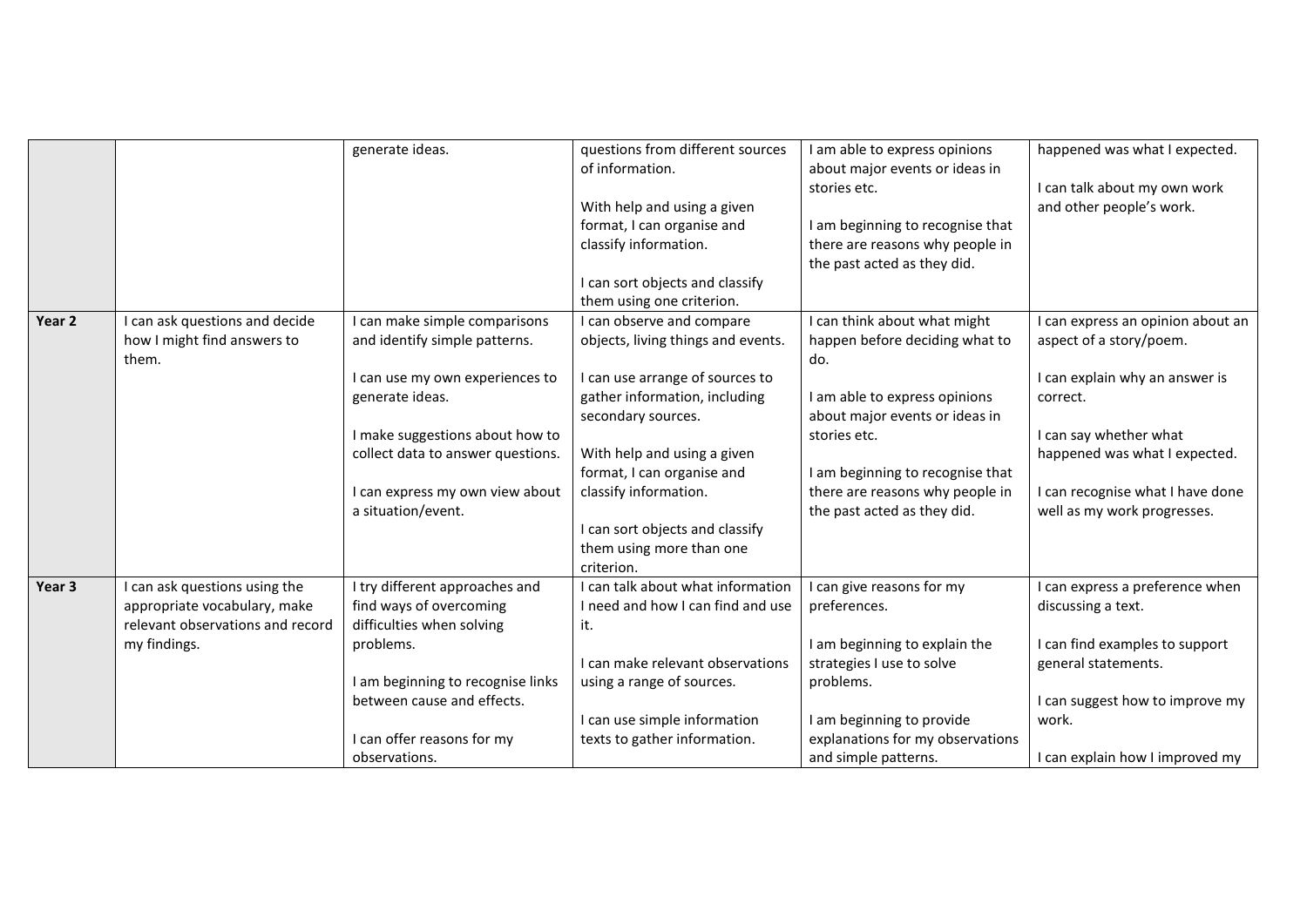|        |                                  | generate ideas.                                                 | questions from different sources   | I am able to express opinions    | happened was what I expected.     |
|--------|----------------------------------|-----------------------------------------------------------------|------------------------------------|----------------------------------|-----------------------------------|
|        |                                  |                                                                 | of information.                    | about major events or ideas in   |                                   |
|        |                                  |                                                                 |                                    | stories etc.                     | I can talk about my own work      |
|        |                                  |                                                                 | With help and using a given        |                                  | and other people's work.          |
|        |                                  |                                                                 | format, I can organise and         | I am beginning to recognise that |                                   |
|        |                                  |                                                                 | classify information.              | there are reasons why people in  |                                   |
|        |                                  |                                                                 |                                    | the past acted as they did.      |                                   |
|        |                                  |                                                                 | can sort objects and classify      |                                  |                                   |
|        |                                  |                                                                 | them using one criterion.          |                                  |                                   |
| Year 2 | I can ask questions and decide   | I can make simple comparisons                                   | can observe and compare            | I can think about what might     | I can express an opinion about an |
|        | how I might find answers to      | and identify simple patterns.                                   | objects, living things and events. | happen before deciding what to   | aspect of a story/poem.           |
|        | them.                            |                                                                 |                                    | do.                              |                                   |
|        |                                  | I can use my own experiences to                                 | I can use arrange of sources to    |                                  | I can explain why an answer is    |
|        |                                  | generate ideas.                                                 | gather information, including      | I am able to express opinions    | correct.                          |
|        |                                  |                                                                 | secondary sources.                 | about major events or ideas in   |                                   |
|        |                                  | I make suggestions about how to                                 |                                    | stories etc.                     | I can say whether what            |
|        |                                  | collect data to answer questions.                               | With help and using a given        |                                  | happened was what I expected.     |
|        |                                  |                                                                 | format, I can organise and         | I am beginning to recognise that |                                   |
|        |                                  | I can express my own view about                                 | classify information.              | there are reasons why people in  | I can recognise what I have done  |
|        |                                  | a situation/event.                                              |                                    | the past acted as they did.      | well as my work progresses.       |
|        |                                  |                                                                 | I can sort objects and classify    |                                  |                                   |
|        |                                  |                                                                 | them using more than one           |                                  |                                   |
|        |                                  |                                                                 | criterion.                         |                                  |                                   |
| Year 3 | I can ask questions using the    | I try different approaches and                                  | can talk about what information    | can give reasons for my          | I can express a preference when   |
|        | appropriate vocabulary, make     | find ways of overcoming                                         | I need and how I can find and use  | preferences.                     | discussing a text.                |
|        | relevant observations and record | difficulties when solving                                       | it.                                |                                  |                                   |
|        | my findings.                     | problems.                                                       |                                    | I am beginning to explain the    | I can find examples to support    |
|        |                                  |                                                                 | I can make relevant observations   | strategies I use to solve        | general statements.               |
|        |                                  | I am beginning to recognise links<br>between cause and effects. | using a range of sources.          | problems.                        | I can suggest how to improve my   |
|        |                                  |                                                                 |                                    |                                  | work.                             |
|        |                                  |                                                                 | I can use simple information       | I am beginning to provide        |                                   |
|        |                                  | I can offer reasons for my<br>observations.                     | texts to gather information.       | explanations for my observations | I can explain how I improved my   |
|        |                                  |                                                                 |                                    | and simple patterns.             |                                   |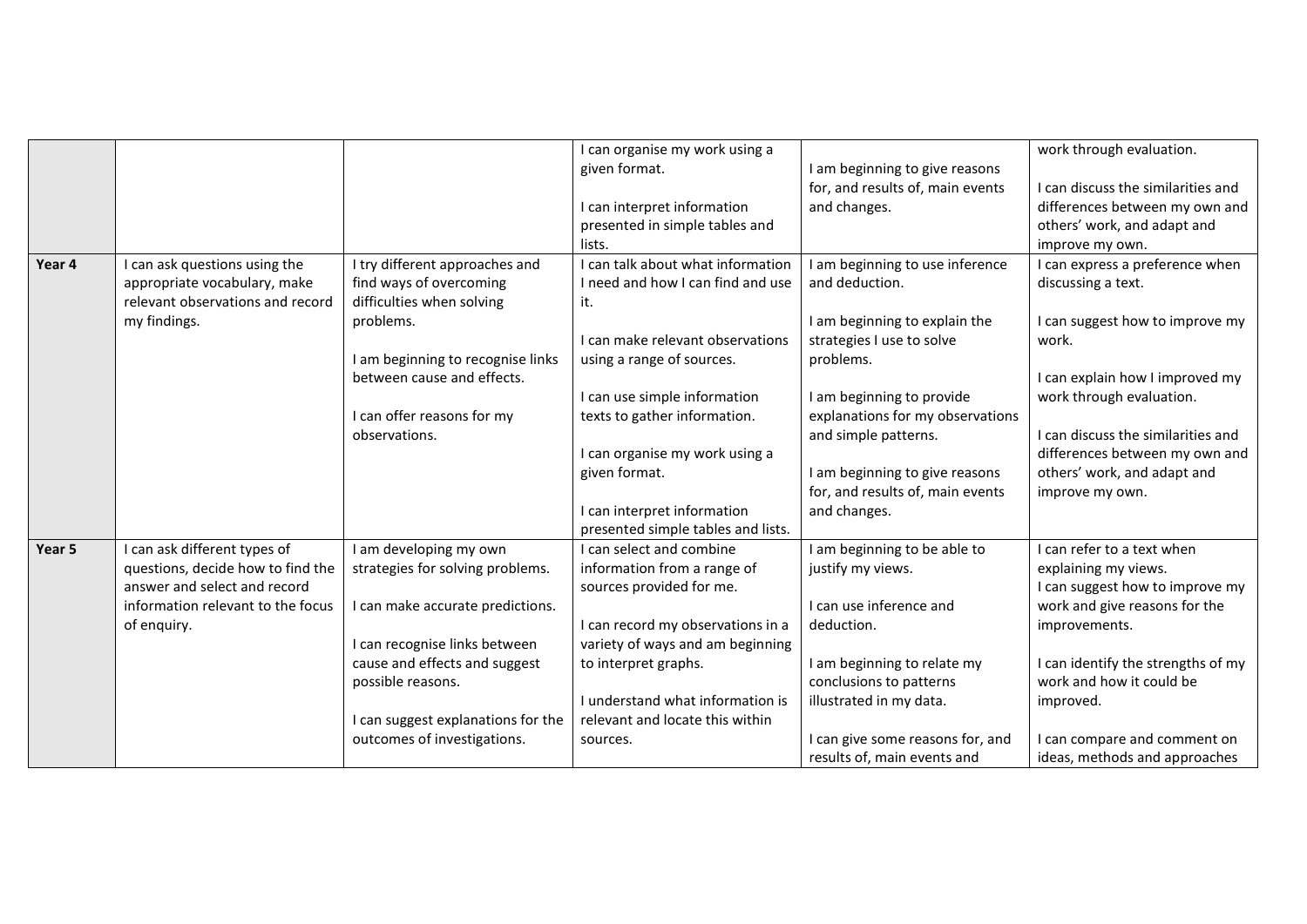| Year 4 | I can ask questions using the<br>appropriate vocabulary, make<br>relevant observations and record<br>my findings.                                     | I try different approaches and<br>find ways of overcoming<br>difficulties when solving<br>problems.<br>I am beginning to recognise links<br>between cause and effects.<br>I can offer reasons for my<br>observations.                                      | I can organise my work using a<br>given format.<br>I can interpret information<br>presented in simple tables and<br>lists.<br>I can talk about what information<br>I need and how I can find and use<br>it.<br>I can make relevant observations<br>using a range of sources.<br>I can use simple information<br>texts to gather information.<br>I can organise my work using a<br>given format.<br>I can interpret information | I am beginning to give reasons<br>for, and results of, main events<br>and changes.<br>I am beginning to use inference<br>and deduction.<br>I am beginning to explain the<br>strategies I use to solve<br>problems.<br>I am beginning to provide<br>explanations for my observations<br>and simple patterns.<br>I am beginning to give reasons<br>for, and results of, main events<br>and changes. | work through evaluation.<br>I can discuss the similarities and<br>differences between my own and<br>others' work, and adapt and<br>improve my own.<br>I can express a preference when<br>discussing a text.<br>I can suggest how to improve my<br>work.<br>I can explain how I improved my<br>work through evaluation.<br>I can discuss the similarities and<br>differences between my own and<br>others' work, and adapt and<br>improve my own. |
|--------|-------------------------------------------------------------------------------------------------------------------------------------------------------|------------------------------------------------------------------------------------------------------------------------------------------------------------------------------------------------------------------------------------------------------------|--------------------------------------------------------------------------------------------------------------------------------------------------------------------------------------------------------------------------------------------------------------------------------------------------------------------------------------------------------------------------------------------------------------------------------|---------------------------------------------------------------------------------------------------------------------------------------------------------------------------------------------------------------------------------------------------------------------------------------------------------------------------------------------------------------------------------------------------|--------------------------------------------------------------------------------------------------------------------------------------------------------------------------------------------------------------------------------------------------------------------------------------------------------------------------------------------------------------------------------------------------------------------------------------------------|
| Year 5 | I can ask different types of<br>questions, decide how to find the<br>answer and select and record<br>information relevant to the focus<br>of enquiry. | I am developing my own<br>strategies for solving problems.<br>I can make accurate predictions.<br>I can recognise links between<br>cause and effects and suggest<br>possible reasons.<br>I can suggest explanations for the<br>outcomes of investigations. | presented simple tables and lists.<br>I can select and combine<br>information from a range of<br>sources provided for me.<br>I can record my observations in a<br>variety of ways and am beginning<br>to interpret graphs.<br>I understand what information is<br>relevant and locate this within<br>sources.                                                                                                                  | I am beginning to be able to<br>justify my views.<br>I can use inference and<br>deduction.<br>I am beginning to relate my<br>conclusions to patterns<br>illustrated in my data.<br>I can give some reasons for, and<br>results of, main events and                                                                                                                                                | I can refer to a text when<br>explaining my views.<br>I can suggest how to improve my<br>work and give reasons for the<br>improvements.<br>I can identify the strengths of my<br>work and how it could be<br>improved.<br>I can compare and comment on<br>ideas, methods and approaches                                                                                                                                                          |